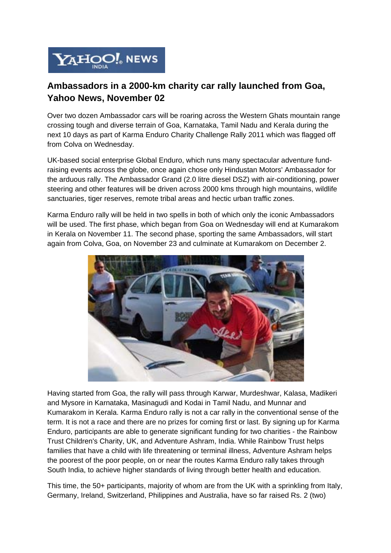

## **Ambassadors in a 2000-km charity car rally launched from Goa, Yahoo News, November 02**

Over two dozen Ambassador cars will be roaring across the Western Ghats mountain range crossing tough and diverse terrain of Goa, Karnataka, Tamil Nadu and Kerala during the next 10 days as part of Karma Enduro Charity Challenge Rally 2011 which was flagged off from Colva on Wednesday.

UK-based social enterprise Global Enduro, which runs many spectacular adventure fundraising events across the globe, once again chose only Hindustan Motors' Ambassador for the arduous rally. The Ambassador Grand (2.0 litre diesel DSZ) with air-conditioning, power steering and other features will be driven across 2000 kms through high mountains, wildlife sanctuaries, tiger reserves, remote tribal areas and hectic urban traffic zones.

Karma Enduro rally will be held in two spells in both of which only the iconic Ambassadors will be used. The first phase, which began from Goa on Wednesday will end at Kumarakom in Kerala on November 11. The second phase, sporting the same Ambassadors, will start again from Colva, Goa, on November 23 and culminate at Kumarakom on December 2.



Having started from Goa, the rally will pass through Karwar, Murdeshwar, Kalasa, Madikeri and Mysore in Karnataka, Masinagudi and Kodai in Tamil Nadu, and Munnar and Kumarakom in Kerala. Karma Enduro rally is not a car rally in the conventional sense of the term. It is not a race and there are no prizes for coming first or last. By signing up for Karma Enduro, participants are able to generate significant funding for two charities - the Rainbow Trust Children's Charity, UK, and Adventure Ashram, India. While Rainbow Trust helps families that have a child with life threatening or terminal illness, Adventure Ashram helps the poorest of the poor people, on or near the routes Karma Enduro rally takes through South India, to achieve higher standards of living through better health and education.

This time, the 50+ participants, majority of whom are from the UK with a sprinkling from Italy, Germany, Ireland, Switzerland, Philippines and Australia, have so far raised Rs. 2 (two)